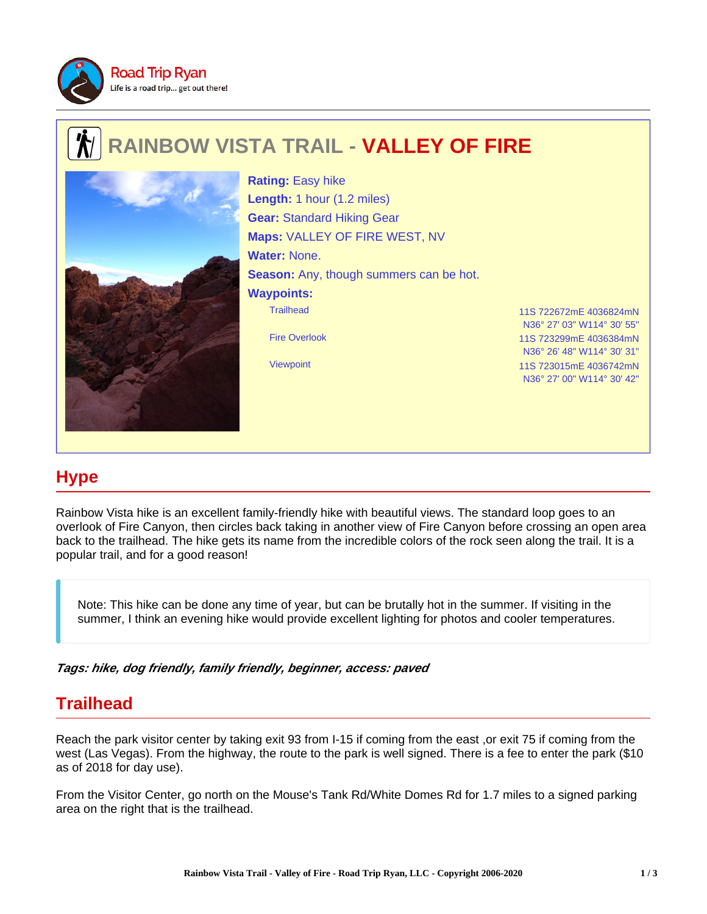

## **RAINBOW VISTA TRAIL - VALLEY OF FIRE**



Trailhead 11S 722672mE 4036824mN Fire Overlook 11S 723299mE 4036384mN Viewpoint 11S 723015mE 4036742mN **Rating:** Easy hike **Length:** 1 hour (1.2 miles) **Gear:** Standard Hiking Gear **Maps:** VALLEY OF FIRE WEST, NV **Water:** None. **Season:** Any, though summers can be hot. **Waypoints:**

N36° 27' 03" W114° 30' 55" N36° 26' 48" W114° 30' 31" N36° 27' 00" W114° 30' 42"

## **Hype**

Rainbow Vista hike is an excellent family-friendly hike with beautiful views. The standard loop goes to an overlook of Fire Canyon, then circles back taking in another view of Fire Canyon before crossing an open area back to the trailhead. The hike gets its name from the incredible colors of the rock seen along the trail. It is a popular trail, and for a good reason!

Note: This hike can be done any time of year, but can be brutally hot in the summer. If visiting in the summer, I think an evening hike would provide excellent lighting for photos and cooler temperatures.

**Tags: hike, dog friendly, family friendly, beginner, access: paved**

## **Trailhead**

Reach the park visitor center by taking exit 93 from I-15 if coming from the east ,or exit 75 if coming from the west (Las Vegas). From the highway, the route to the park is well signed. There is a fee to enter the park (\$10 as of 2018 for day use).

From the Visitor Center, go north on the Mouse's Tank Rd/White Domes Rd for 1.7 miles to a signed parking area on the right that is the trailhead.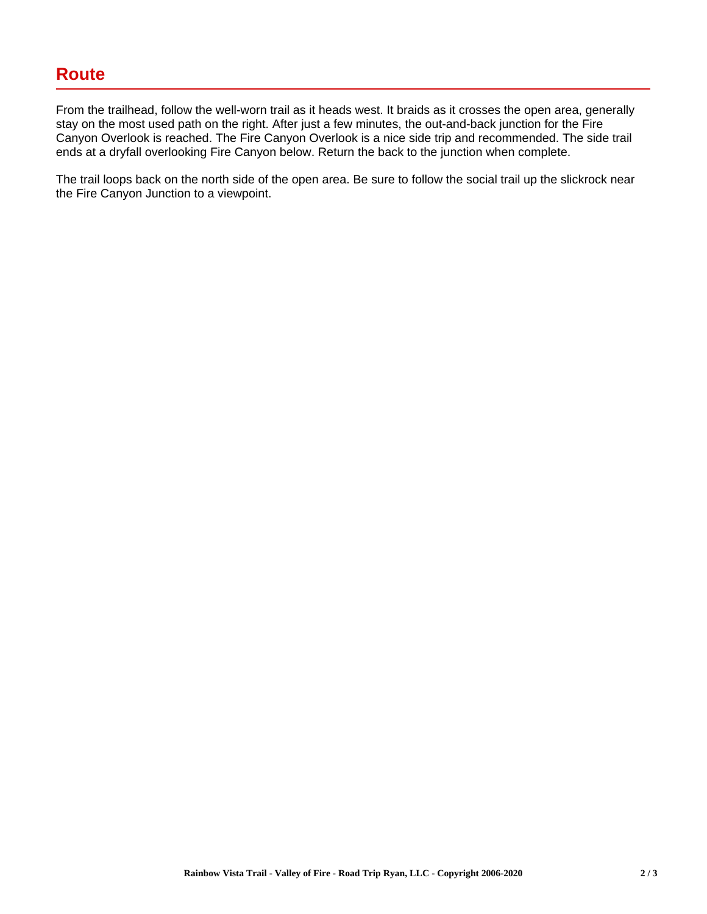From the trailhead, follow the well-worn trail as it heads west. It braids as it crosses the open area, generally stay on the most used path on the right. After just a few minutes, the out-and-back junction for the Fire Canyon Overlook is reached. The Fire Canyon Overlook is a nice side trip and recommended. The side trail ends at a dryfall overlooking Fire Canyon below. Return the back to the junction when complete.

The trail loops back on the north side of the open area. Be sure to follow the social trail up the slickrock near the Fire Canyon Junction to a viewpoint.